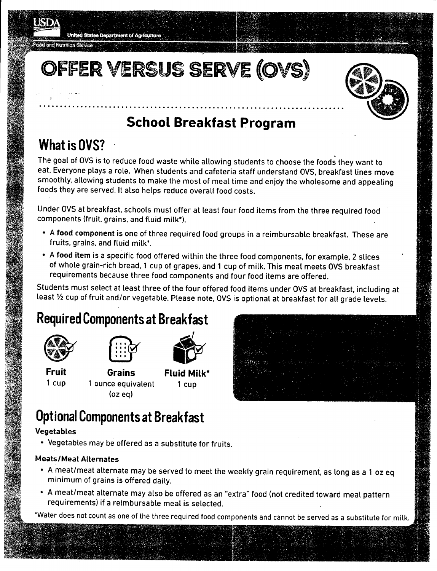

dod and Nutrition Service

United States Department of Agriculture

## OFFER VERSUS SERVE (OVS)

..........................................................................

### **School Breakfast Program**

## **What isOVS? .**

The goal of OVS is to reduce food waste while allowing students to choose the foods they want to eat. Everyone plays a role. When students and cafeteria staff understand OVS, breakfast lines move smoothly. allowing students to make the most of meal time and enjoy the wholesome and appealing foods they are served. It also helps reduce overall food costs.

Under OVSat breakfast. schools must offer at least four food items from the three required food components (fruit, grains. and fluid milk").

- A food component is one of three required food groups in a reimbursable breakfast. These are fruits, grains, and fluid milk",
- A food item is a specific food offered within the three food components, for example. 2 slices of whole grain-rich bread, 1 cup of grapes, and 1 cup of milk. This meal meets OVS breakfast requirements because three food components and four food items are offered.

Students must select at least three of the four offered food items under OVS at breakfast, including at least 1/2 cup of fruit and/or vegetable. Please note, OVS is optional at breakfast for all grade levels.

# **Required Components at Breakfast** ,





**Fruit Grains Fluid Milk·** 1 cup 1 ounce equivalent 1 cup (oz eq)





## **Optional Components at Breakfast**

### Vegetables

• Vegetables may be offered as a substitute for fruits.

### Meats/Meat Alternates

- A meat/meat alternate may be served to meet the weekly grain requirement. as long as a 1 oz eq minimum of grains is offered daily.
- A meat/meat alternate may also be offered as an "extra" food (not credited toward meal pattern requirements) if a reimbursable meal is selected.

\*Water does not count as one of the three required food components and cannot be served as a substitute for milk.